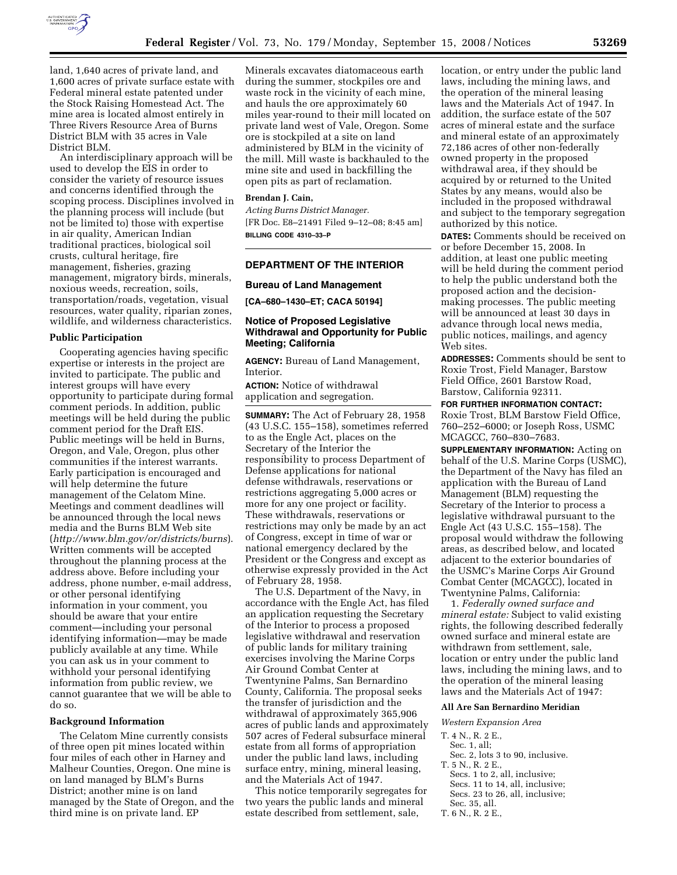

land, 1,640 acres of private land, and 1,600 acres of private surface estate with Federal mineral estate patented under the Stock Raising Homestead Act. The mine area is located almost entirely in Three Rivers Resource Area of Burns District BLM with 35 acres in Vale District BLM.

An interdisciplinary approach will be used to develop the EIS in order to consider the variety of resource issues and concerns identified through the scoping process. Disciplines involved in the planning process will include (but not be limited to) those with expertise in air quality, American Indian traditional practices, biological soil crusts, cultural heritage, fire management, fisheries, grazing management, migratory birds, minerals, noxious weeds, recreation, soils, transportation/roads, vegetation, visual resources, water quality, riparian zones, wildlife, and wilderness characteristics.

## **Public Participation**

Cooperating agencies having specific expertise or interests in the project are invited to participate. The public and interest groups will have every opportunity to participate during formal comment periods. In addition, public meetings will be held during the public comment period for the Draft EIS. Public meetings will be held in Burns, Oregon, and Vale, Oregon, plus other communities if the interest warrants. Early participation is encouraged and will help determine the future management of the Celatom Mine. Meetings and comment deadlines will be announced through the local news media and the Burns BLM Web site (*http://www.blm.gov/or/districts/burns*). Written comments will be accepted throughout the planning process at the address above. Before including your address, phone number, e-mail address, or other personal identifying information in your comment, you should be aware that your entire comment—including your personal identifying information—may be made publicly available at any time. While you can ask us in your comment to withhold your personal identifying information from public review, we cannot guarantee that we will be able to do so.

## **Background Information**

The Celatom Mine currently consists of three open pit mines located within four miles of each other in Harney and Malheur Counties, Oregon. One mine is on land managed by BLM's Burns District; another mine is on land managed by the State of Oregon, and the third mine is on private land. EP

Minerals excavates diatomaceous earth during the summer, stockpiles ore and waste rock in the vicinity of each mine, and hauls the ore approximately 60 miles year-round to their mill located on private land west of Vale, Oregon. Some ore is stockpiled at a site on land administered by BLM in the vicinity of the mill. Mill waste is backhauled to the mine site and used in backfilling the open pits as part of reclamation.

# **Brendan J. Cain,**

*Acting Burns District Manager.*  [FR Doc. E8–21491 Filed 9–12–08; 8:45 am] **BILLING CODE 4310–33–P** 

## **DEPARTMENT OF THE INTERIOR**

### **Bureau of Land Management**

**[CA–680–1430–ET; CACA 50194]** 

## **Notice of Proposed Legislative Withdrawal and Opportunity for Public Meeting; California**

**AGENCY:** Bureau of Land Management, Interior.

**ACTION:** Notice of withdrawal application and segregation.

**SUMMARY:** The Act of February 28, 1958 (43 U.S.C. 155–158), sometimes referred to as the Engle Act, places on the Secretary of the Interior the responsibility to process Department of Defense applications for national defense withdrawals, reservations or restrictions aggregating 5,000 acres or more for any one project or facility. These withdrawals, reservations or restrictions may only be made by an act of Congress, except in time of war or national emergency declared by the President or the Congress and except as otherwise expressly provided in the Act of February 28, 1958.

The U.S. Department of the Navy, in accordance with the Engle Act, has filed an application requesting the Secretary of the Interior to process a proposed legislative withdrawal and reservation of public lands for military training exercises involving the Marine Corps Air Ground Combat Center at Twentynine Palms, San Bernardino County, California. The proposal seeks the transfer of jurisdiction and the withdrawal of approximately 365,906 acres of public lands and approximately 507 acres of Federal subsurface mineral estate from all forms of appropriation under the public land laws, including surface entry, mining, mineral leasing, and the Materials Act of 1947.

This notice temporarily segregates for two years the public lands and mineral estate described from settlement, sale,

location, or entry under the public land laws, including the mining laws, and the operation of the mineral leasing laws and the Materials Act of 1947. In addition, the surface estate of the 507 acres of mineral estate and the surface and mineral estate of an approximately 72,186 acres of other non-federally owned property in the proposed withdrawal area, if they should be acquired by or returned to the United States by any means, would also be included in the proposed withdrawal and subject to the temporary segregation authorized by this notice.

**DATES:** Comments should be received on or before December 15, 2008. In addition, at least one public meeting will be held during the comment period to help the public understand both the proposed action and the decisionmaking processes. The public meeting will be announced at least 30 days in advance through local news media, public notices, mailings, and agency Web sites.

**ADDRESSES:** Comments should be sent to Roxie Trost, Field Manager, Barstow Field Office, 2601 Barstow Road, Barstow, California 92311.

## **FOR FURTHER INFORMATION CONTACT:**

Roxie Trost, BLM Barstow Field Office, 760–252–6000; or Joseph Ross, USMC MCAGCC, 760–830–7683.

**SUPPLEMENTARY INFORMATION:** Acting on behalf of the U.S. Marine Corps (USMC), the Department of the Navy has filed an application with the Bureau of Land Management (BLM) requesting the Secretary of the Interior to process a legislative withdrawal pursuant to the Engle Act (43 U.S.C. 155–158). The proposal would withdraw the following areas, as described below, and located adjacent to the exterior boundaries of the USMC's Marine Corps Air Ground Combat Center (MCAGCC), located in Twentynine Palms, California:

1. *Federally owned surface and mineral estate:* Subject to valid existing rights, the following described federally owned surface and mineral estate are withdrawn from settlement, sale, location or entry under the public land laws, including the mining laws, and to the operation of the mineral leasing laws and the Materials Act of 1947:

#### **All Are San Bernardino Meridian**

*Western Expansion Area* 

- T. 4 N., R. 2 E.,
- Sec. 1, all;
- Sec. 2, lots 3 to 90, inclusive. T. 5 N., R. 2 E.,
- Secs. 1 to 2, all, inclusive; Secs. 11 to 14, all, inclusive; Secs. 23 to 26, all, inclusive;
- Sec. 35, all.
- T. 6 N., R. 2 E.,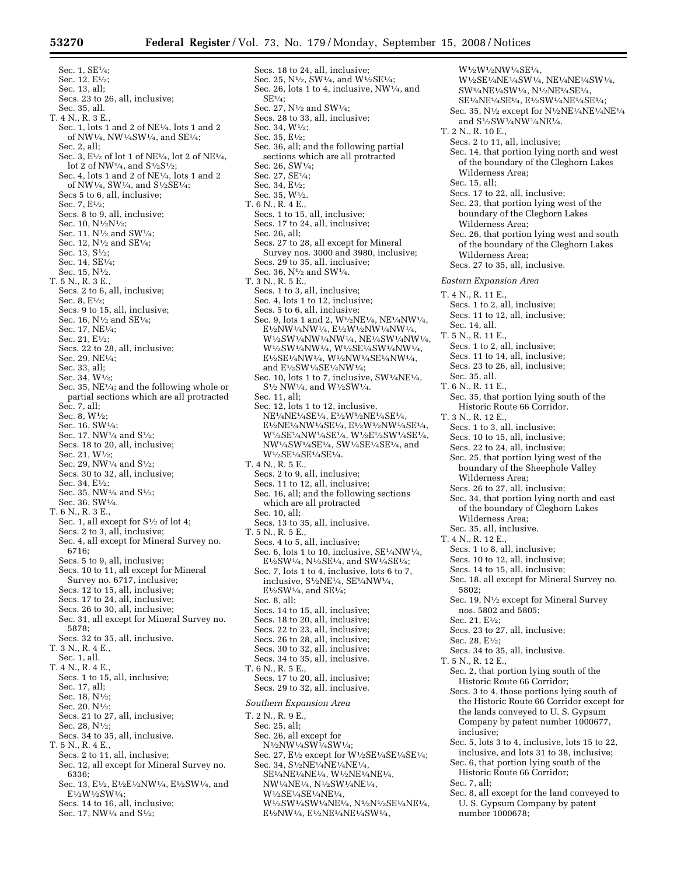Secs. 18 to 24, all, inclusive; Sec. 25, N $\frac{1}{2}$ , SW $\frac{1}{4}$ , and W $\frac{1}{2}$ SE $\frac{1}{4}$ ; Sec. 26, lots 1 to 4, inclusive, NW1⁄4, and

Sec. 36, all; and the following partial sections which are all protracted

Sec. 27, N1⁄2 and SW1⁄4; Secs. 28 to 33, all, inclusive;

SE1⁄4;

Sec. 34, W1⁄2; Sec. 35, E1⁄2;

Sec. 1, SE1⁄4; Sec. 12, E1⁄2; Sec. 13, all; Secs. 23 to 26, all, inclusive; Sec. 35, all. T. 4 N., R. 3 E., Sec. 1, lots 1 and 2 of NE1⁄4, lots 1 and 2 of NW1⁄4, NW1⁄4SW1⁄4, and SE1⁄4; Sec. 2, all; Sec. 3,  $E\frac{1}{2}$  of lot 1 of NE<sup>1</sup>/<sub>4</sub>, lot 2 of NE<sup>1</sup>/<sub>4</sub>, lot 2 of NW<sup>1</sup>/<sub>4</sub>, and S<sup>1</sup>/<sub>2</sub>S<sup>1</sup>/<sub>2</sub>; Sec. 4, lots 1 and 2 of NE1⁄4, lots 1 and 2 of NW1⁄4, SW1⁄4, and S1⁄2SE1⁄4; Secs 5 to 6, all, inclusive; Sec. 7, E1⁄2; Secs. 8 to 9, all, inclusive; Sec. 10, N<sup>1</sup>/2N<sup>1</sup>/2; Sec. 11, N1⁄2 and SW1⁄4; Sec. 12, N1⁄2 and SE1⁄4; Sec. 13, S1⁄2; Sec. 14, SE1⁄4; Sec. 15, N1⁄2. T. 5 N., R. 3 E., Secs. 2 to 6, all, inclusive; Sec. 8, E1⁄2; Secs. 9 to 15, all, inclusive; Sec. 16, N<sup>1</sup>/<sub>2</sub> and SE<sup>1</sup>/<sub>4</sub>; Sec. 17, NE1⁄4; Sec. 21, E1⁄2; Secs. 22 to 28, all, inclusive; Sec. 29, NE1⁄4; Sec. 33, all; Sec. 34, W1⁄2; Sec. 35, NE1⁄4; and the following whole or partial sections which are all protracted Sec. 7, all; Sec. 8, W1⁄2; Sec. 16, SW1⁄4; Sec. 17, NW $\frac{1}{4}$  and  $S\frac{1}{2}$ ; Secs. 18 to 20, all, inclusive; Sec. 21, W1⁄2; Sec. 29, NW<sup>1</sup>/<sub>4</sub> and S<sup>1</sup>/<sub>2</sub>; Secs. 30 to 32, all, inclusive; Sec. 34, E1⁄2; Sec. 35, NW<sup>1</sup>/<sub>4</sub> and S<sup>1</sup>/<sub>2</sub>; Sec. 36, SW1⁄4. T. 6 N., R. 3 E., Sec. 1, all except for  $S<sup>1</sup>/<sub>2</sub>$  of lot 4; Secs. 2 to 3, all, inclusive; Sec. 4, all except for Mineral Survey no. 6716; Secs. 5 to 9, all, inclusive; Secs. 10 to 11, all except for Mineral Survey no. 6717, inclusive; Secs. 12 to 15, all, inclusive; Secs. 17 to 24, all, inclusive; Secs. 26 to 30, all, inclusive; Sec. 31, all except for Mineral Survey no. 5878; Secs. 32 to 35, all, inclusive. T. 3 N., R. 4 E., Sec. 1, all. T. 4 N., R. 4 E., Secs. 1 to 15, all, inclusive; Sec. 17, all; Sec. 18, N1⁄2; Sec. 20, N1⁄2; Secs. 21 to 27, all, inclusive; Sec. 28, N1⁄2; Secs. 34 to 35, all, inclusive. T. 5 N., R. 4 E., Secs. 2 to 11, all, inclusive; Sec. 12, all except for Mineral Survey no. 6336; Sec. 13, E<sup>1</sup>/2, E<sup>1</sup>/2E<sup>1</sup>/2NW<sup>1</sup>/4, E<sup>1</sup>/2SW<sup>1</sup>/4, and E1⁄2W1⁄2SW1⁄4; Secs. 14 to 16, all, inclusive;

- Sec. 17, NW<sup>1</sup>/<sub>4</sub> and S<sup>1</sup>/<sub>2</sub>;
- Sec. 26, SW1⁄4; Sec. 27, SE1⁄4; Sec. 34, E1⁄2; Sec. 35, W1⁄2. T. 6 N., R. 4 E., Secs. 1 to 15, all, inclusive; Secs. 17 to 24, all, inclusive; Sec. 26, all; Secs. 27 to 28, all except for Mineral Survey nos. 3000 and 3980, inclusive; Secs. 29 to 35, all, inclusive; Sec. 36, N1⁄2 and SW1⁄4. T. 3 N., R. 5 E., Secs. 1 to 3, all, inclusive; Sec. 4, lots 1 to 12, inclusive; Secs. 5 to 6, all, inclusive; Sec. 9, lots 1 and 2, W1⁄2NE1⁄4, NE1⁄4NW1⁄4, E1⁄2NW1⁄4NW1⁄4, E1⁄2W1⁄2NW1⁄4NW1⁄4, W1⁄2SW1⁄4NW1⁄4NW1⁄4, NE1⁄4SW1⁄4NW1⁄4, W1⁄2SW1⁄4NW1⁄4, W1⁄2SE1⁄4SW1⁄4NW1⁄4, E1⁄2SE1⁄4NW1⁄4, W1⁄2NW1⁄4SE1⁄4NW1⁄4, and E1⁄2SW1⁄4SE1⁄4NW1⁄4; Sec. 10, lots 1 to 7, inclusive, SW1⁄4NE1⁄4,  $\mathrm{S^{1}\!}/_2$  NW1/4, and W1/2SW1/4. Sec. 11, all; Sec. 12, lots 1 to 12, inclusive, NE1⁄4NE1⁄4SE1⁄4, E1⁄2W1⁄2NE1⁄4SE1⁄4, E1⁄2NE1⁄4NW1⁄4SE1⁄4, E1⁄2W1⁄2NW1⁄4SE1⁄4, W1⁄2SE1⁄4NW1⁄4SE1⁄4, W1⁄2E1⁄2SW1⁄4SE1⁄4, NW<sup>1</sup>/4SW<sup>1</sup>/4SE<sup>1</sup>/4, SW<sup>1</sup>/4SE<sup>1</sup>/4SE<sup>1</sup>/4, and W1⁄2SE1⁄4SE1⁄4SE1⁄4. T. 4 N., R. 5 E., Secs. 2 to 9, all, inclusive; Secs. 11 to 12, all, inclusive; Sec. 16, all; and the following sections which are all protracted Sec. 10, all; Secs. 13 to 35, all, inclusive. T. 5 N., R. 5 E., Secs. 4 to 5, all, inclusive; Sec. 6, lots 1 to 10, inclusive,  $SE<sup>1</sup>/4NW<sup>1</sup>/4$ , E<sup>1</sup>/2SW<sup>1</sup>/4, N<sup>1</sup>/2SE<sup>1</sup>/4, and SW<sup>1</sup>/4SE<sup>1</sup>/4; Sec. 7, lots 1 to 4, inclusive, lots 6 to 7, inclusive, S1⁄2NE1⁄4, SE1⁄4NW1⁄4,  $\mathrm{E}^{1}\!/_{2}\mathrm{SW}^{1}\!/_{4},$  and  $\mathrm{SE}^{1}\!/_{4};$ Sec. 8, all; Secs. 14 to 15, all, inclusive; Secs. 18 to 20, all, inclusive; Secs. 22 to 23, all, inclusive; Secs. 26 to 28, all, inclusive; Secs. 30 to 32, all, inclusive; Secs. 34 to 35, all, inclusive. T. 6 N., R. 5 E., Secs. 17 to 20, all, inclusive; Secs. 29 to 32, all, inclusive. *Southern Expansion Area*  T. 2 N., R. 9 E., Sec. 25, all; Sec. 26, all except for N<sup>1</sup>/<sub>2</sub>NW<sup>1</sup>/<sub>4</sub>SW<sup>1</sup>/<sub>4</sub>SW<sup>1</sup>/<sub>4</sub>; Sec. 27, E<sup>1</sup>/<sub>2</sub> except for W<sup>1</sup>/2SE<sup>1</sup>/4SE<sup>1</sup>/4SE<sup>1</sup>/4; Sec. 34, S1⁄2NE1⁄4NE1⁄4NE1⁄4, SE1⁄4NE1⁄4NE1⁄4, W1⁄2NE1⁄4NE1⁄4,

NW1⁄4NE1⁄4, N1⁄2SW1⁄4NE1⁄4, W<sup>1</sup>/2SE<sup>1</sup>/4SE<sup>1</sup>/4NE<sup>1</sup>/4, W1⁄2SW1⁄4SW1⁄4NE1⁄4, N1⁄2N1⁄2SE1⁄4NE1⁄4, E1⁄2NW1⁄4, E1⁄2NE1⁄4NE1⁄4SW1⁄4,

W<sup>1</sup>/2W<sup>1</sup>/2NW<sup>1</sup>/4SE<sup>1</sup>/4, W1⁄2SE1⁄4NE1⁄4SW1⁄4, NE1⁄4NE1⁄4SW1⁄4, SW1⁄4NE1⁄4SW1⁄4, N1⁄2NE1⁄4SE1⁄4, SE1⁄4NE1⁄4SE1⁄4, E1⁄2SW1⁄4NE1⁄4SE1⁄4; Sec. 35, N1⁄2 except for N1⁄2NE1⁄4NE1⁄4NE1⁄4 and S1⁄2SW1⁄4NW1⁄4NE1⁄4. T. 2 N., R. 10 E., Secs. 2 to 11, all, inclusive; Sec. 14, that portion lying north and west of the boundary of the Cleghorn Lakes Wilderness Area; Sec. 15, all; Secs. 17 to 22, all, inclusive; Sec. 23, that portion lying west of the boundary of the Cleghorn Lakes Wilderness Area; Sec. 26, that portion lying west and south of the boundary of the Cleghorn Lakes Wilderness Area; Secs. 27 to 35, all, inclusive. *Eastern Expansion Area*  T. 4 N., R. 11 E., Secs. 1 to 2, all, inclusive; Secs. 11 to 12, all, inclusive; Sec. 14, all. T. 5 N., R. 11 E., Secs. 1 to 2, all, inclusive; Secs. 11 to 14, all, inclusive; Secs. 23 to 26, all, inclusive; Sec. 35, all. T. 6 N., R. 11 E., Sec. 35, that portion lying south of the Historic Route 66 Corridor. T. 3 N., R. 12 E., Secs. 1 to 3, all, inclusive; Secs. 10 to 15, all, inclusive; Secs. 22 to 24, all, inclusive; Sec. 25, that portion lying west of the boundary of the Sheephole Valley Wilderness Area; Secs. 26 to 27, all, inclusive; Sec. 34, that portion lying north and east of the boundary of Cleghorn Lakes Wilderness Area; Sec. 35, all, inclusive. T. 4 N., R. 12 E., Secs. 1 to 8, all, inclusive; Secs. 10 to 12, all, inclusive; Secs. 14 to 15, all, inclusive; Sec. 18, all except for Mineral Survey no. 5802; Sec. 19, N1⁄2 except for Mineral Survey nos. 5802 and 5805; Sec. 21, E1⁄2; Secs. 23 to 27, all, inclusive; Sec. 28, E1⁄2; Secs. 34 to 35, all, inclusive. T. 5 N., R. 12 E., Sec. 2, that portion lying south of the Historic Route 66 Corridor; Secs. 3 to 4, those portions lying south of the Historic Route 66 Corridor except for the lands conveyed to U. S. Gypsum Company by patent number 1000677, inclusive; Sec. 5, lots 3 to 4, inclusive, lots 15 to 22, inclusive, and lots 31 to 38, inclusive; Sec. 6, that portion lying south of the Historic Route 66 Corridor; Sec. 7, all; Sec. 8, all except for the land conveyed to U. S. Gypsum Company by patent

number 1000678;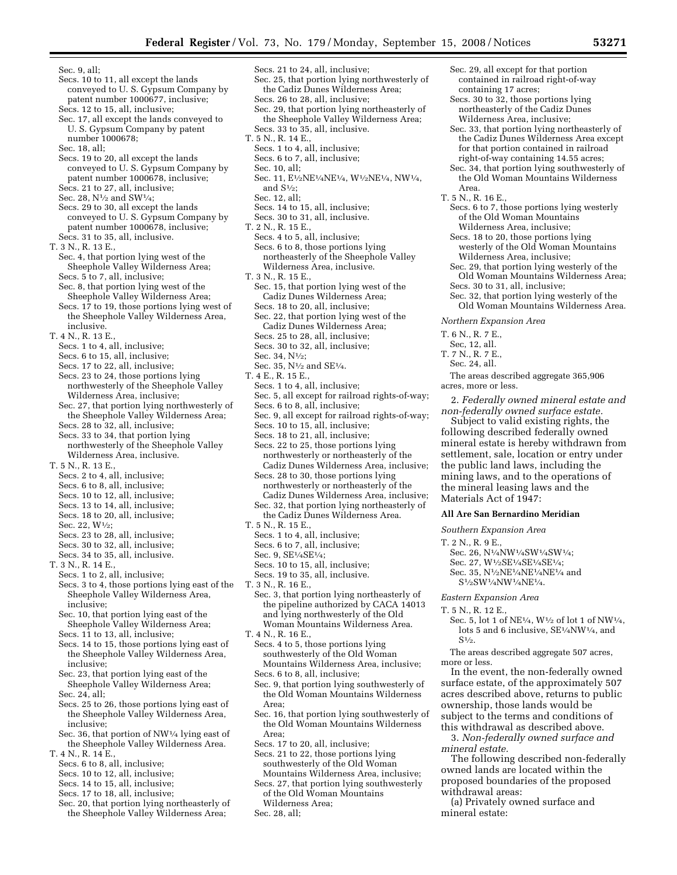Sec. 9, all; Secs. 10 to 11, all except the lands conveyed to U. S. Gypsum Company by patent number 1000677, inclusive; Secs. 12 to 15, all, inclusive; Sec. 17, all except the lands conveyed to U. S. Gypsum Company by patent number 1000678; Sec. 18, all; Secs. 19 to 20, all except the lands conveyed to U. S. Gypsum Company by patent number 1000678, inclusive; Secs. 21 to 27, all, inclusive; Sec. 28, N<sup>1</sup>/<sub>2</sub> and SW<sup>1</sup>/<sub>4</sub>; Secs. 29 to 30, all except the lands conveyed to U. S. Gypsum Company by patent number 1000678, inclusive; Secs. 31 to 35, all, inclusive. T. 3 N., R. 13 E., Sec. 4, that portion lying west of the Sheephole Valley Wilderness Area; Secs. 5 to 7, all, inclusive; Sec. 8, that portion lying west of the Sheephole Valley Wilderness Area; Secs. 17 to 19, those portions lying west of the Sheephole Valley Wilderness Area, inclusive. T. 4 N., R. 13 E., Secs. 1 to 4, all, inclusive; Secs. 6 to 15, all, inclusive; Secs. 17 to 22, all, inclusive; Secs. 23 to 24, those portions lying northwesterly of the Sheephole Valley Wilderness Area, inclusive; Sec. 27, that portion lying northwesterly of the Sheephole Valley Wilderness Area; Secs. 28 to 32, all, inclusive; Secs. 33 to 34, that portion lying northwesterly of the Sheephole Valley Wilderness Area, inclusive. T. 5 N., R. 13 E., Secs. 2 to 4, all, inclusive; Secs. 6 to 8, all, inclusive; Secs. 10 to 12, all, inclusive; Secs. 13 to 14, all, inclusive; Secs. 18 to 20, all, inclusive; Sec. 22, W1⁄2; Secs. 23 to 28, all, inclusive; Secs. 30 to 32, all, inclusive; Secs. 34 to 35, all, inclusive. T. 3 N., R. 14 E., Secs. 1 to 2, all, inclusive; Secs. 3 to 4, those portions lying east of the Sheephole Valley Wilderness Area, inclusive;

- Sec. 10, that portion lying east of the Sheephole Valley Wilderness Area; Secs. 11 to 13, all, inclusive;
- Secs. 14 to 15, those portions lying east of the Sheephole Valley Wilderness Area, inclusive;
- Sec. 23, that portion lying east of the Sheephole Valley Wilderness Area; Sec. 24, all;
- Secs. 25 to 26, those portions lying east of the Sheephole Valley Wilderness Area, inclusive;
- Sec. 36, that portion of NW1⁄4 lying east of the Sheephole Valley Wilderness Area.
- T. 4 N., R. 14 E.,
	- Secs. 6 to 8, all, inclusive; Secs. 10 to 12, all, inclusive;
	-
	- Secs. 14 to 15, all, inclusive; Secs. 17 to 18, all, inclusive;
	-
	- Sec. 20, that portion lying northeasterly of the Sheephole Valley Wilderness Area;
- Secs. 21 to 24, all, inclusive; Sec. 25, that portion lying northwesterly of the Cadiz Dunes Wilderness Area; Secs. 26 to 28, all, inclusive; Sec. 29, that portion lying northeasterly of the Sheephole Valley Wilderness Area; Secs. 33 to 35, all, inclusive. T. 5 N., R. 14 E., Secs. 1 to 4, all, inclusive; Secs. 6 to 7, all, inclusive; Sec. 10, all; Sec. 11, E1⁄2NE1⁄4NE1⁄4, W1⁄2NE1⁄4, NW1⁄4, and  $S<sup>1</sup>/2$ : Sec. 12, all; Secs. 14 to 15, all, inclusive; Secs. 30 to 31, all, inclusive. T. 2 N., R. 15 E., Secs. 4 to 5, all, inclusive; Secs. 6 to 8, those portions lying northeasterly of the Sheephole Valley Wilderness Area, inclusive. T. 3 N., R. 15 E., Sec. 15, that portion lying west of the Cadiz Dunes Wilderness Area; Secs. 18 to 20, all, inclusive; Sec. 22, that portion lying west of the Cadiz Dunes Wilderness Area; Secs. 25 to 28, all, inclusive; Secs. 30 to 32, all, inclusive; Sec. 34, N1⁄2; Sec. 35, N1⁄2 and SE1⁄4. T. 4 E., R. 15 E., Secs. 1 to 4, all, inclusive; Sec. 5, all except for railroad rights-of-way; Secs. 6 to 8, all, inclusive; Sec. 9, all except for railroad rights-of-way; Secs. 10 to 15, all, inclusive; Secs. 18 to 21, all, inclusive;
	- Secs. 22 to 25, those portions lying northwesterly or northeasterly of the Cadiz Dunes Wilderness Area, inclusive;
	- Secs. 28 to 30, those portions lying northwesterly or northeasterly of the Cadiz Dunes Wilderness Area, inclusive; Sec. 32, that portion lying northeasterly of
- the Cadiz Dunes Wilderness Area. T. 5 N., R. 15 E.,
- Secs. 1 to 4, all, inclusive;
- Secs. 6 to 7, all, inclusive;
- Sec. 9, SE1⁄4SE1⁄4;
- Secs. 10 to 15, all, inclusive;
- Secs. 19 to 35, all, inclusive.
- T. 3 N., R. 16 E.,
	- Sec. 3, that portion lying northeasterly of the pipeline authorized by CACA 14013 and lying northwesterly of the Old Woman Mountains Wilderness Area.
- T. 4 N., R. 16 E.,
	- Secs. 4 to 5, those portions lying southwesterly of the Old Woman Mountains Wilderness Area, inclusive; Secs. 6 to 8, all, inclusive;
	- Sec. 9, that portion lying southwesterly of the Old Woman Mountains Wilderness Area;
	- Sec. 16, that portion lying southwesterly of the Old Woman Mountains Wilderness Area;
	- Secs. 17 to 20, all, inclusive;
	- Secs. 21 to 22, those portions lying southwesterly of the Old Woman
	- Mountains Wilderness Area, inclusive; Secs. 27, that portion lying southwesterly
	- of the Old Woman Mountains Wilderness Area;
	- Sec. 28, all;
- Sec. 29, all except for that portion contained in railroad right-of-way containing 17 acres;
- Secs. 30 to 32, those portions lying northeasterly of the Cadiz Dunes Wilderness Area, inclusive;
- Sec. 33, that portion lying northeasterly of the Cadiz Dunes Wilderness Area except for that portion contained in railroad right-of-way containing 14.55 acres;
- Sec. 34, that portion lying southwesterly of the Old Woman Mountains Wilderness Area.
- T. 5 N., R. 16 E.,
	- Secs. 6 to 7, those portions lying westerly of the Old Woman Mountains Wilderness Area, inclusive;
	- Secs. 18 to 20, those portions lying westerly of the Old Woman Mountains Wilderness Area, inclusive;
	- Sec. 29, that portion lying westerly of the Old Woman Mountains Wilderness Area;
	- Secs. 30 to 31, all, inclusive;
	- Sec. 32, that portion lying westerly of the Old Woman Mountains Wilderness Area.
- *Northern Expansion Area*
- T. 6 N., R. 7 E.,
- Sec, 12, all.
- T. 7 N., R. 7 E.,
	- Sec. 24, all.

The areas described aggregate 365,906 acres, more or less.

2. *Federally owned mineral estate and non-federally owned surface estate.* 

Subject to valid existing rights, the following described federally owned mineral estate is hereby withdrawn from settlement, sale, location or entry under the public land laws, including the mining laws, and to the operations of the mineral leasing laws and the Materials Act of 1947:

#### **All Are San Bernardino Meridian**

*Southern Expansion Area* 

- T. 2 N., R. 9 E.,
- Sec. 26, N1⁄4NW1⁄4SW1⁄4SW1⁄4;
- Sec. 27, W1⁄2SE1⁄4SE1⁄4SE1⁄4;
- Sec. 35, N1⁄2NE1⁄4NE1⁄4NE1⁄4 and S1⁄2SW1⁄4NW1⁄4NE1⁄4.

*Eastern Expansion Area* 

- T. 5 N., R. 12 E.,
	- Sec. 5, lot 1 of NE1⁄4, W1⁄2 of lot 1 of NW1⁄4, lots 5 and 6 inclusive, SE1⁄4NW1⁄4, and  $S<sub>1/2</sub>$

The areas described aggregate 507 acres, more or less.

In the event, the non-federally owned surface estate, of the approximately 507 acres described above, returns to public ownership, those lands would be subject to the terms and conditions of this withdrawal as described above.

3. *Non-federally owned surface and mineral estate.* 

The following described non-federally owned lands are located within the proposed boundaries of the proposed withdrawal areas:

(a) Privately owned surface and mineral estate: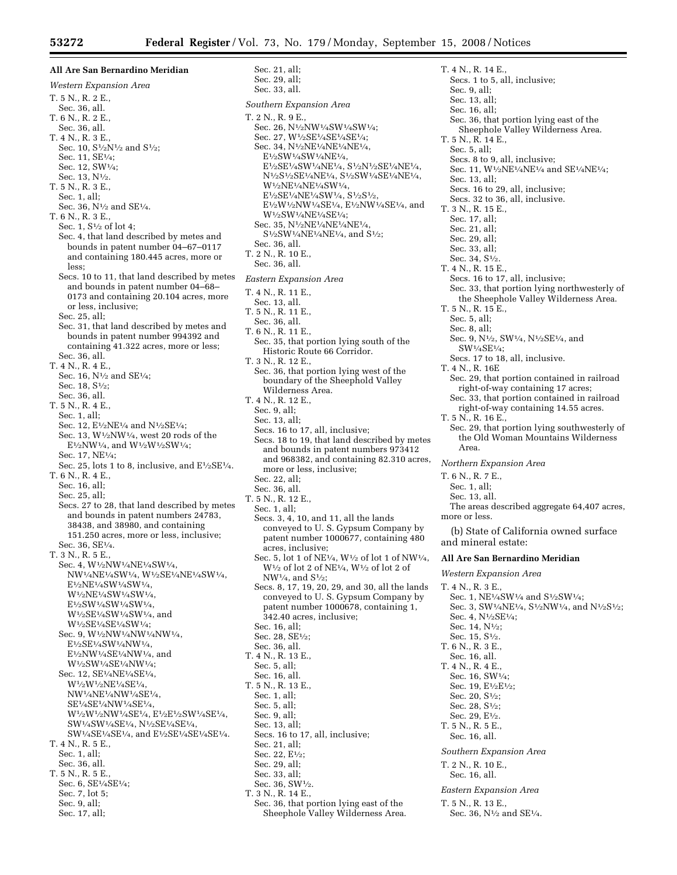**All Are San Bernardino Meridian**  *Western Expansion Area*  T. 5 N., R. 2 E., Sec. 36, all. T. 6 N., R. 2 E., Sec. 36, all. T. 4 N., R. 3 E., Sec. 10, S1/2N1/2 and S1/2; Sec. 11, SE1⁄4; Sec. 12, SW1⁄4; Sec. 13, N1⁄2. T. 5 N., R. 3 E., Sec. 1, all; Sec. 36, N<sup>1</sup>/<sub>2</sub> and SE<sup>1</sup>/<sub>4</sub>. T. 6 N., R. 3 E., Sec. 1, S1⁄2 of lot 4; Sec. 4, that land described by metes and bounds in patent number 04–67–0117 and containing 180.445 acres, more or less; Secs. 10 to 11, that land described by metes and bounds in patent number 04–68– 0173 and containing 20.104 acres, more or less, inclusive; Sec. 25, all; Sec. 31, that land described by metes and bounds in patent number 994392 and containing 41.322 acres, more or less; Sec. 36, all. T. 4 N., R. 4 E., Sec. 16, N<sup>1</sup>/<sub>2</sub> and SE<sup>1</sup>/<sub>4</sub>; Sec. 18, S<sup>1</sup>/<sub>2</sub>: Sec. 36, all. T. 5 N., R. 4 E., Sec. 1, all; Sec. 12, E<sup>1</sup>/<sub>2</sub>NE<sup>1</sup>/<sub>4</sub> and N<sup>1</sup>/<sub>2</sub>SE<sup>1</sup>/<sub>4</sub>; Sec. 13,  $W<sup>1</sup>/2NW<sup>1</sup>/4$ , west 20 rods of the E1⁄2NW1⁄4, and W1⁄2W1⁄2SW1⁄4; Sec. 17, NE1⁄4; Sec. 25, lots 1 to 8, inclusive, and  $E\frac{1}{2}SE\frac{1}{4}$ . T. 6 N., R. 4 E., Sec. 16, all; Sec. 25, all; Secs. 27 to 28, that land described by metes and bounds in patent numbers 24783, 38438, and 38980, and containing 151.250 acres, more or less, inclusive; Sec. 36, SE1⁄4. T. 3 N., R. 5 E., Sec. 4, W1⁄2NW1⁄4NE1⁄4SW1⁄4, NW1⁄4NE1⁄4SW1⁄4, W1⁄2SE1⁄4NE1⁄4SW1⁄4, E1⁄2NE1⁄4SW1⁄4SW1⁄4, W<sup>1</sup>/2NE<sup>1</sup>/4SW<sup>1</sup>/4SW<sup>1</sup>/4, E1⁄2SW1⁄4SW1⁄4SW1⁄4, W<sup>1</sup>/2SE<sup>1</sup>/4SW<sup>1</sup>/4SW<sup>1</sup>/4, and W1⁄2SE1⁄4SE1⁄4SW1⁄4; Sec. 9, W1⁄2NW1⁄4NW1⁄4NW1⁄4, E1⁄2SE1⁄4SW1⁄4NW1⁄4, E1⁄2NW1⁄4SE1⁄4NW1⁄4, and W1⁄2SW1⁄4SE1⁄4NW1⁄4; Sec. 12, SE<sup>1</sup>/<sub>4</sub>NE<sup>1</sup>/<sub>4</sub>SE<sup>1</sup>/<sub>4</sub>, W<sup>1</sup>/2W<sup>1</sup>/2NE<sup>1</sup>/4SE<sup>1</sup>/4. NW1⁄4NE1⁄4NW1⁄4SE1⁄4, SE1⁄4SE1⁄4NW1⁄4SE1⁄4, W1⁄2W1⁄2NW1⁄4SE1⁄4, E1⁄2E1⁄2SW1⁄4SE1⁄4, SW1⁄4SW1⁄4SE1⁄4, N1⁄2SE1⁄4SE1⁄4, SW1⁄4SE1⁄4SE1⁄4, and E1⁄2SE1⁄4SE1⁄4SE1⁄4. T. 4 N., R. 5 E., Sec. 1, all; Sec. 36, all. T. 5 N., R. 5 E., Sec. 6, SE1⁄4SE1⁄4; Sec. 7, lot 5; Sec. 9, all; Sec. 17, all;

Sec. 21, all; Sec. 29, all; Sec. 33, all. *Southern Expansion Area*  T. 2 N., R. 9 E., Sec. 26, N<sup>1</sup>/2NW<sup>1</sup>/4SW<sup>1</sup>/4SW<sup>1</sup>/4: Sec. 27, W1⁄2SE1⁄4SE1⁄4SE1⁄4; Sec. 34, N1⁄2NE1⁄4NE1⁄4NE1⁄4, E1⁄2SW1⁄4SW1⁄4NE1⁄4, E1⁄2SE1⁄4SW1⁄4NE1⁄4, S1⁄2N1⁄2SE1⁄4NE1⁄4, N1⁄2S1⁄2SE1⁄4NE1⁄4, S1⁄2SW1⁄4SE1⁄4NE1⁄4, W1⁄2NE1⁄4NE1⁄4SW1⁄4, E1⁄2SE1⁄4NE1⁄4SW1⁄4, S1⁄2S1⁄2, E1⁄2W1⁄2NW1⁄4SE1⁄4, E1⁄2NW1⁄4SE1⁄4, and W1⁄2SW1⁄4NE1⁄4SE1⁄4; Sec. 35, N1⁄2NE1⁄4NE1⁄4NE1⁄4, S1⁄2SW1⁄4NE1⁄4NE1⁄4, and S1⁄2; Sec. 36, all. T. 2 N., R. 10 E., Sec. 36, all. *Eastern Expansion Area*  T. 4 N., R. 11 E., Sec. 13, all. T. 5 N., R. 11 E., Sec. 36, all. T. 6 N., R. 11 E., Sec. 35, that portion lying south of the Historic Route 66 Corridor. T. 3 N., R. 12 E., Sec. 36, that portion lying west of the boundary of the Sheephold Valley Wilderness Area. T. 4 N., R. 12 E., Sec. 9, all; Sec. 13, all; Secs. 16 to 17, all, inclusive; Secs. 18 to 19, that land described by metes and bounds in patent numbers 973412 and 968382, and containing 82.310 acres, more or less, inclusive; Sec. 22, all; Sec. 36, all. T. 5 N., R. 12 E., Sec. 1, all; Secs. 3, 4, 10, and 11, all the lands conveyed to U. S. Gypsum Company by patent number 1000677, containing 480 acres, inclusive; Sec. 5, lot 1 of NE1⁄4, W1⁄2 of lot 1 of NW1⁄4,  $W^{1/2}$  of lot 2 of NE<sup>1</sup>/4,  $W^{1/2}$  of lot 2 of  $NW<sup>1</sup>/<sub>4</sub>, and S<sup>1</sup>/<sub>2</sub>;$ Secs. 8, 17, 19, 20, 29, and 30, all the lands conveyed to U. S. Gypsum Company by patent number 1000678, containing 1, 342.40 acres, inclusive; Sec. 16, all; Sec. 28, SE1⁄2; Sec. 36, all. T. 4 N., R. 13 E., Sec.  $5$ , all: Sec. 16, all. T. 5 N., R. 13 E., Sec. 1, all; Sec. 5, all; Sec. 9, all; Sec. 13, all; Secs. 16 to 17, all, inclusive; Sec. 21, all; Sec. 22, E1⁄2; Sec. 29, all; Sec. 33, all; Sec. 36, SW1⁄2.

- T. 3 N., R. 14 E.,
- Sec. 36, that portion lying east of the Sheephole Valley Wilderness Area.

T. 4 N., R. 14 E., Secs. 1 to 5, all, inclusive; Sec. 9, all; Sec. 13, all; Sec. 16, all; Sec. 36, that portion lying east of the Sheephole Valley Wilderness Area. T. 5 N., R. 14 E., Sec. 5, all; Secs. 8 to 9, all, inclusive; Sec. 11, W1⁄2NE1⁄4NE1⁄4 and SE1⁄4NE1⁄4; Sec. 13, all; Secs. 16 to 29, all, inclusive; Secs. 32 to 36, all, inclusive. T. 3 N., R. 15 E., Sec. 17, all; Sec. 21, all; Sec. 29, all; Sec. 33, all; Sec. 34, S1⁄2. T. 4 N., R. 15 E., Secs. 16 to 17, all, inclusive; Sec. 33, that portion lying northwesterly of the Sheephole Valley Wilderness Area. T. 5 N., R. 15 E., Sec. 5, all; Sec. 8, all; Sec. 9, N1⁄2, SW1⁄4, N1⁄2SE1⁄4, and SW1⁄4SE1⁄4; Secs. 17 to 18, all, inclusive. T. 4 N., R. 16E Sec. 29, that portion contained in railroad right-of-way containing 17 acres; Sec. 33, that portion contained in railroad right-of-way containing 14.55 acres. T. 5 N., R. 16 E., Sec. 29, that portion lying southwesterly of the Old Woman Mountains Wilderness Area. *Northern Expansion Area*  T. 6 N., R. 7 E., Sec. 1, all; Sec. 13, all. The areas described aggregate 64,407 acres, more or less. (b) State of California owned surface and mineral estate: **All Are San Bernardino Meridian**  *Western Expansion Area*  T. 4 N., R. 3 E., Sec. 1, NE1⁄4SW1⁄4 and S1⁄2SW1⁄4; Sec. 3, SW<sup>1</sup>/<sub>4</sub>NE<sup>1</sup>/<sub>4</sub>, S<sup>1</sup>/<sub>2</sub>NW<sup>1</sup>/<sub>4</sub>, and N<sup>1</sup>/<sub>2</sub>S<sup>1</sup>/<sub>2</sub>; Sec. 4, N1⁄2SE1⁄4; Sec. 14, N1⁄2; Sec. 15, S1⁄2. T. 6 N., R. 3 E., Sec. 16, all. T. 4 N., R. 4 E., Sec. 16, SW1⁄4; Sec. 19, E<sup>1</sup>/2E<sup>1</sup>/2; Sec. 20, S1⁄2; Sec. 28, S1⁄2; Sec. 29, E1⁄2. T. 5 N., R. 5 E., Sec. 16, all. *Southern Expansion Area*  T. 2 N., R. 10 E., Sec. 16, all.

*Eastern Expansion Area* 

- T. 5 N., R. 13 E.,
- Sec. 36, N1⁄2 and SE1⁄4.